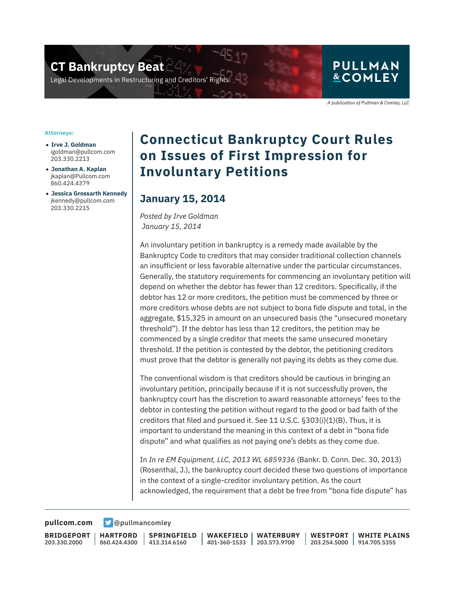**CT Bankruptcy Beat** 

Legal Developments in Restructuring and Creditors' Rigl

#### **PULLMAN &COMLEY**

A publication of Pullman & Comley, LLC

#### **Attorneys:**

- **Irve J. Goldman** igoldman@pullcom.com 203.330.2213
- **Jonathan A. Kaplan** jkaplan@Pullcom.com 860.424.4379
- **Jessica Grossarth Kennedy** jkennedy@pullcom.com 203.330.2215

## **Connecticut Bankruptcy Court Rules on Issues of First Impression for Involuntary Petitions**

### **January 15, 2014**

*Posted by Irve Goldman January 15, 2014*

An involuntary petition in bankruptcy is a remedy made available by the Bankruptcy Code to creditors that may consider traditional collection channels an insufficient or less favorable alternative under the particular circumstances. Generally, the statutory requirements for commencing an involuntary petition will depend on whether the debtor has fewer than 12 creditors. Specifically, if the debtor has 12 or more creditors, the petition must be commenced by three or more creditors whose debts are not subject to bona fide dispute and total, in the aggregate, \$15,325 in amount on an unsecured basis (the "unsecured monetary threshold"). If the debtor has less than 12 creditors, the petition may be commenced by a single creditor that meets the same unsecured monetary threshold. If the petition is contested by the debtor, the petitioning creditors must prove that the debtor is generally not paying its debts as they come due.

The conventional wisdom is that creditors should be cautious in bringing an involuntary petition, principally because if it is not successfully proven, the bankruptcy court has the discretion to award reasonable attorneys' fees to the debtor in contesting the petition without regard to the good or bad faith of the creditors that filed and pursued it. See 11 U.S.C. §303(i)(1)(B). Thus, it is important to understand the meaning in this context of a debt in "bona fide dispute" and what qualifies as not paying one's debts as they come due.

In *In re EM Equipment, LLC, 2013 WL 6859336* (Bankr. D. Conn. Dec. 30, 2013) (Rosenthal, J.), the bankruptcy court decided these two questions of importance in the context of a single-creditor involuntary petition. As the court acknowledged, the requirement that a debt be free from "bona fide dispute" has

**[pullcom.com](https://www.pullcom.com) g** [@pullmancomley](https://twitter.com/PullmanComley)

**BRIDGEPORT** 203.330.2000

**HARTFORD** 860.424.4300

**SPRINGFIELD** 413.314.6160

**WAKEFIELD** 401-360-1533 203.573.9700 **WATERBURY WESTPORT**

203.254.5000 914.705.5355 **WHITE PLAINS**